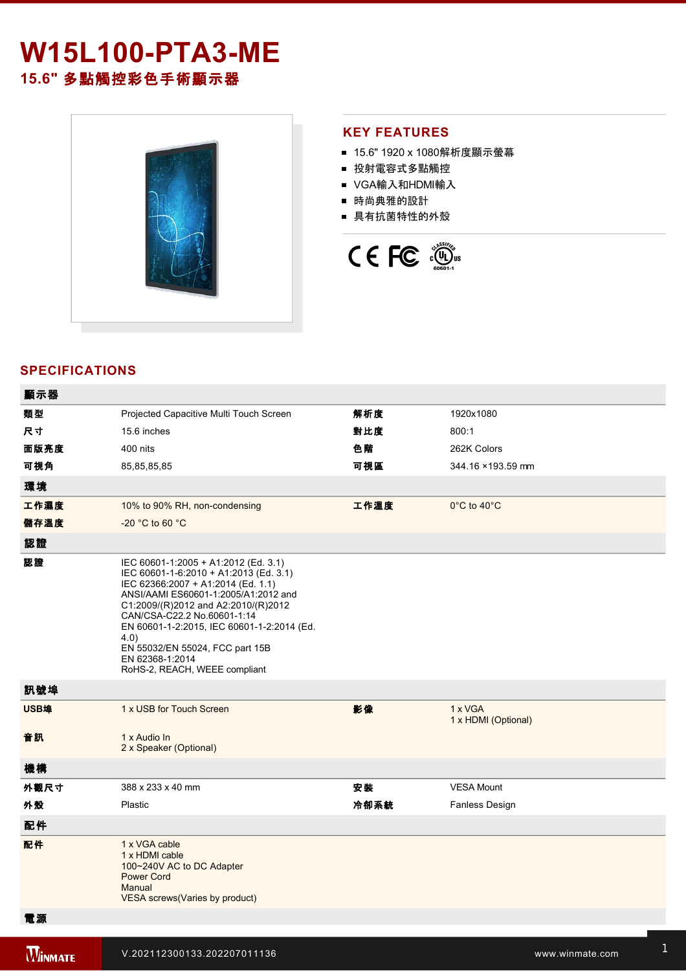# **W15L100-PTA3-ME 15.6"** 多點觸控彩色手術顯示器



#### **KEY FEATURES**

- 15.6" 1920 x 1080解析度顯示螢幕
- 投射電容式多點觸控
- VGA輸入和HDMI輸入
- 時尚典雅的設計
- 具有抗菌特性的外殼



### **SPECIFICATIONS**

| 類型<br>解析度<br>1920x1080<br>Projected Capacitive Multi Touch Screen<br>尺寸<br>對比度<br>800:1<br>15.6 inches<br>面版亮度<br>400 nits<br>色階<br>262K Colors<br>可視角<br>可視區<br>85,85,85,85<br>344.16 ×193.59 mm<br>環境<br>工作濕度<br>10% to 90% RH, non-condensing<br>工作溫度<br>$0^{\circ}$ C to 40 $^{\circ}$ C<br>儲存溫度<br>-20 °C to 60 °C<br>認證<br>認證<br>IEC 60601-1:2005 + A1:2012 (Ed. 3.1)<br>IEC 60601-1-6:2010 + A1:2013 (Ed. 3.1)<br>IEC 62366:2007 + A1:2014 (Ed. 1.1)<br>ANSI/AAMI ES60601-1:2005/A1:2012 and<br>C1:2009/(R)2012 and A2:2010/(R)2012<br>CAN/CSA-C22.2 No.60601-1:14<br>EN 60601-1-2:2015, IEC 60601-1-2:2014 (Ed.<br>4.0)<br>EN 55032/EN 55024, FCC part 15B<br>EN 62368-1:2014<br>RoHS-2, REACH, WEEE compliant<br>訊號埠<br>USB埠<br>1 x USB for Touch Screen<br>影像<br>1 x VGA<br>1 x HDMI (Optional)<br>音訊<br>1 x Audio In<br>2 x Speaker (Optional)<br>機構<br>外觀尺寸<br>安装<br><b>VESA Mount</b><br>388 x 233 x 40 mm<br>外殼<br>冷卻系統<br>Plastic<br>Fanless Design |
|--------------------------------------------------------------------------------------------------------------------------------------------------------------------------------------------------------------------------------------------------------------------------------------------------------------------------------------------------------------------------------------------------------------------------------------------------------------------------------------------------------------------------------------------------------------------------------------------------------------------------------------------------------------------------------------------------------------------------------------------------------------------------------------------------------------------------------------------------------------------------------------------------------------------------------------------------------------------|
|                                                                                                                                                                                                                                                                                                                                                                                                                                                                                                                                                                                                                                                                                                                                                                                                                                                                                                                                                                    |
|                                                                                                                                                                                                                                                                                                                                                                                                                                                                                                                                                                                                                                                                                                                                                                                                                                                                                                                                                                    |
|                                                                                                                                                                                                                                                                                                                                                                                                                                                                                                                                                                                                                                                                                                                                                                                                                                                                                                                                                                    |
|                                                                                                                                                                                                                                                                                                                                                                                                                                                                                                                                                                                                                                                                                                                                                                                                                                                                                                                                                                    |
|                                                                                                                                                                                                                                                                                                                                                                                                                                                                                                                                                                                                                                                                                                                                                                                                                                                                                                                                                                    |
|                                                                                                                                                                                                                                                                                                                                                                                                                                                                                                                                                                                                                                                                                                                                                                                                                                                                                                                                                                    |
|                                                                                                                                                                                                                                                                                                                                                                                                                                                                                                                                                                                                                                                                                                                                                                                                                                                                                                                                                                    |
|                                                                                                                                                                                                                                                                                                                                                                                                                                                                                                                                                                                                                                                                                                                                                                                                                                                                                                                                                                    |
|                                                                                                                                                                                                                                                                                                                                                                                                                                                                                                                                                                                                                                                                                                                                                                                                                                                                                                                                                                    |
|                                                                                                                                                                                                                                                                                                                                                                                                                                                                                                                                                                                                                                                                                                                                                                                                                                                                                                                                                                    |
|                                                                                                                                                                                                                                                                                                                                                                                                                                                                                                                                                                                                                                                                                                                                                                                                                                                                                                                                                                    |
|                                                                                                                                                                                                                                                                                                                                                                                                                                                                                                                                                                                                                                                                                                                                                                                                                                                                                                                                                                    |
|                                                                                                                                                                                                                                                                                                                                                                                                                                                                                                                                                                                                                                                                                                                                                                                                                                                                                                                                                                    |
|                                                                                                                                                                                                                                                                                                                                                                                                                                                                                                                                                                                                                                                                                                                                                                                                                                                                                                                                                                    |
|                                                                                                                                                                                                                                                                                                                                                                                                                                                                                                                                                                                                                                                                                                                                                                                                                                                                                                                                                                    |
| 配件                                                                                                                                                                                                                                                                                                                                                                                                                                                                                                                                                                                                                                                                                                                                                                                                                                                                                                                                                                 |
| 配件<br>1 x VGA cable<br>1 x HDMI cable<br>100~240V AC to DC Adapter                                                                                                                                                                                                                                                                                                                                                                                                                                                                                                                                                                                                                                                                                                                                                                                                                                                                                                 |
| <b>Power Cord</b><br>Manual<br>VESA screws(Varies by product)                                                                                                                                                                                                                                                                                                                                                                                                                                                                                                                                                                                                                                                                                                                                                                                                                                                                                                      |

電源規格 12V DC input